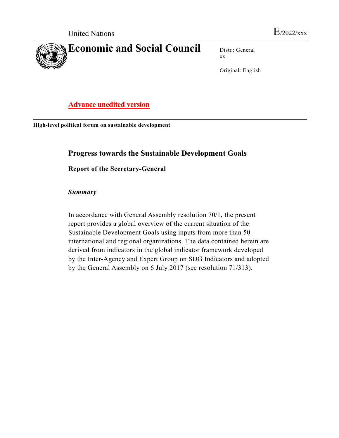

Distr.: General xx

Original: English

# Advance unedited version

High-level political forum on sustainable development

## Progress towards the Sustainable Development Goals

Report of the Secretary-General

Summary

 In accordance with General Assembly resolution 70/1, the present report provides a global overview of the current situation of the Sustainable Development Goals using inputs from more than 50 international and regional organizations. The data contained herein are derived from indicators in the global indicator framework developed by the Inter-Agency and Expert Group on SDG Indicators and adopted by the General Assembly on 6 July 2017 (see resolution 71/313).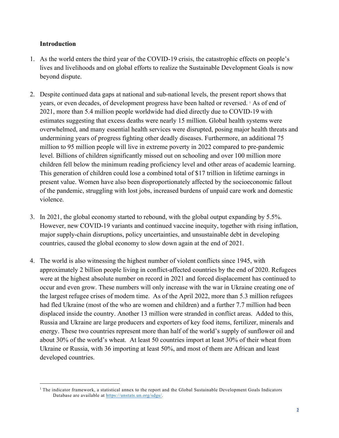### Introduction

- 1. As the world enters the third year of the COVID-19 crisis, the catastrophic effects on people's lives and livelihoods and on global efforts to realize the Sustainable Development Goals is now beyond dispute.
- 2. Despite continued data gaps at national and sub-national levels, the present report shows that years, or even decades, of development progress have been halted or reversed. <sup>1</sup> As of end of 2021, more than 5.4 million people worldwide had died directly due to COVID-19 with estimates suggesting that excess deaths were nearly 15 million. Global health systems were overwhelmed, and many essential health services were disrupted, posing major health threats and undermining years of progress fighting other deadly diseases. Furthermore, an additional 75 million to 95 million people will live in extreme poverty in 2022 compared to pre-pandemic level. Billions of children significantly missed out on schooling and over 100 million more children fell below the minimum reading proficiency level and other areas of academic learning. This generation of children could lose a combined total of \$17 trillion in lifetime earnings in present value. Women have also been disproportionately affected by the socioeconomic fallout of the pandemic, struggling with lost jobs, increased burdens of unpaid care work and domestic violence.
- 3. In 2021, the global economy started to rebound, with the global output expanding by 5.5%. However, new COVID-19 variants and continued vaccine inequity, together with rising inflation, major supply-chain disruptions, policy uncertainties, and unsustainable debt in developing countries, caused the global economy to slow down again at the end of 2021.
- 4. The world is also witnessing the highest number of violent conflicts since 1945, with approximately 2 billion people living in conflict-affected countries by the end of 2020. Refugees were at the highest absolute number on record in 2021 and forced displacement has continued to occur and even grow. These numbers will only increase with the war in Ukraine creating one of the largest refugee crises of modern time. As of the April 2022, more than 5.3 million refugees had fled Ukraine (most of the who are women and children) and a further 7.7 million had been displaced inside the country. Another 13 million were stranded in conflict areas. Added to this, Russia and Ukraine are large producers and exporters of key food items, fertilizer, minerals and energy. These two countries represent more than half of the world's supply of sunflower oil and about 30% of the world's wheat. At least 50 countries import at least 30% of their wheat from Ukraine or Russia, with 36 importing at least 50%, and most of them are African and least developed countries.

<sup>1</sup> The indicator framework, a statistical annex to the report and the Global Sustainable Development Goals Indicators Database are available at https://unstats.un.org/sdgs/.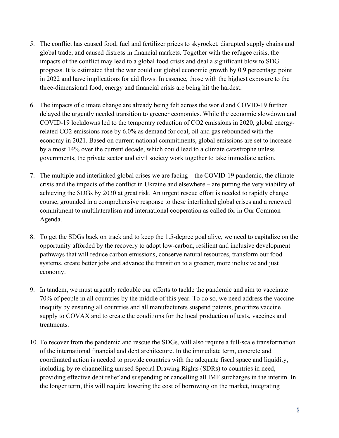- 5. The conflict has caused food, fuel and fertilizer prices to skyrocket, disrupted supply chains and global trade, and caused distress in financial markets. Together with the refugee crisis, the impacts of the conflict may lead to a global food crisis and deal a significant blow to SDG progress. It is estimated that the war could cut global economic growth by 0.9 percentage point in 2022 and have implications for aid flows. In essence, those with the highest exposure to the three-dimensional food, energy and financial crisis are being hit the hardest.
- 6. The impacts of climate change are already being felt across the world and COVID-19 further delayed the urgently needed transition to greener economies. While the economic slowdown and COVID-19 lockdowns led to the temporary reduction of CO2 emissions in 2020, global energyrelated CO2 emissions rose by 6.0% as demand for coal, oil and gas rebounded with the economy in 2021. Based on current national commitments, global emissions are set to increase by almost 14% over the current decade, which could lead to a climate catastrophe unless governments, the private sector and civil society work together to take immediate action.
- 7. The multiple and interlinked global crises we are facing the COVID-19 pandemic, the climate crisis and the impacts of the conflict in Ukraine and elsewhere – are putting the very viability of achieving the SDGs by 2030 at great risk. An urgent rescue effort is needed to rapidly change course, grounded in a comprehensive response to these interlinked global crises and a renewed commitment to multilateralism and international cooperation as called for in Our Common Agenda.
- 8. To get the SDGs back on track and to keep the 1.5-degree goal alive, we need to capitalize on the opportunity afforded by the recovery to adopt low-carbon, resilient and inclusive development pathways that will reduce carbon emissions, conserve natural resources, transform our food systems, create better jobs and advance the transition to a greener, more inclusive and just economy.
- 9. In tandem, we must urgently redouble our efforts to tackle the pandemic and aim to vaccinate 70% of people in all countries by the middle of this year. To do so, we need address the vaccine inequity by ensuring all countries and all manufacturers suspend patents, prioritize vaccine supply to COVAX and to create the conditions for the local production of tests, vaccines and treatments.
- 10. To recover from the pandemic and rescue the SDGs, will also require a full-scale transformation of the international financial and debt architecture. In the immediate term, concrete and coordinated action is needed to provide countries with the adequate fiscal space and liquidity, including by re-channelling unused Special Drawing Rights (SDRs) to countries in need, providing effective debt relief and suspending or cancelling all IMF surcharges in the interim. In the longer term, this will require lowering the cost of borrowing on the market, integrating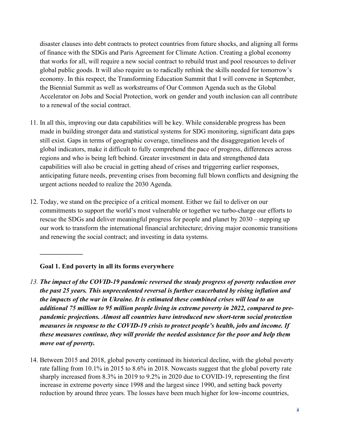disaster clauses into debt contracts to protect countries from future shocks, and aligning all forms of finance with the SDGs and Paris Agreement for Climate Action. Creating a global economy that works for all, will require a new social contract to rebuild trust and pool resources to deliver global public goods. It will also require us to radically rethink the skills needed for tomorrow's economy. In this respect, the Transforming Education Summit that I will convene in September, the Biennial Summit as well as workstreams of Our Common Agenda such as the Global Accelerator on Jobs and Social Protection, work on gender and youth inclusion can all contribute to a renewal of the social contract.

- 11. In all this, improving our data capabilities will be key. While considerable progress has been made in building stronger data and statistical systems for SDG monitoring, significant data gaps still exist. Gaps in terms of geographic coverage, timeliness and the disaggregation levels of global indicators, make it difficult to fully comprehend the pace of progress, differences across regions and who is being left behind. Greater investment in data and strengthened data capabilities will also be crucial in getting ahead of crises and triggerring earlier responses, anticipating future needs, preventing crises from becoming full blown conflicts and designing the urgent actions needed to realize the 2030 Agenda.
- 12. Today, we stand on the precipice of a critical moment. Either we fail to deliver on our commitments to support the world's most vulnerable or together we turbo-charge our efforts to rescue the SDGs and deliver meaningful progress for people and planet by 2030 – stepping up our work to transform the international financial architecture; driving major economic transitions and renewing the social contract; and investing in data systems.

### Goal 1. End poverty in all its forms everywhere

 $\mathcal{L}_\text{max}$ 

- 13. The impact of the COVID-19 pandemic reversed the steady progress of poverty reduction over the past 25 years. This unprecedented reversal is further exacerbated by rising inflation and the impacts of the war in Ukraine. It is estimated these combined crises will lead to an additional 75 million to 95 million people living in extreme poverty in 2022, compared to prepandemic projections. Almost all countries have introduced new short-term social protection measures in response to the COVID-19 crisis to protect people's health, jobs and income. If these measures continue, they will provide the needed assistance for the poor and help them move out of poverty.
- 14. Between 2015 and 2018, global poverty continued its historical decline, with the global poverty rate falling from 10.1% in 2015 to 8.6% in 2018. Nowcasts suggest that the global poverty rate sharply increased from 8.3% in 2019 to 9.2% in 2020 due to COVID-19, representing the first increase in extreme poverty since 1998 and the largest since 1990, and setting back poverty reduction by around three years. The losses have been much higher for low-income countries,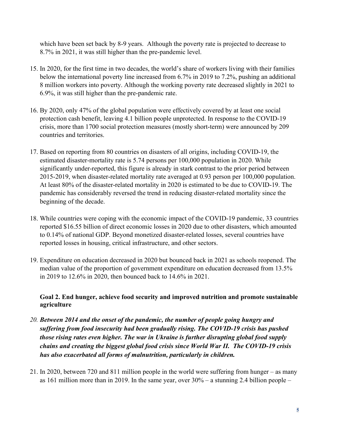which have been set back by 8-9 years. Although the poverty rate is projected to decrease to 8.7% in 2021, it was still higher than the pre-pandemic level.

- 15. In 2020, for the first time in two decades, the world's share of workers living with their families below the international poverty line increased from 6.7% in 2019 to 7.2%, pushing an additional 8 million workers into poverty. Although the working poverty rate decreased slightly in 2021 to 6.9%, it was still higher than the pre-pandemic rate.
- 16. By 2020, only 47% of the global population were effectively covered by at least one social protection cash benefit, leaving 4.1 billion people unprotected. In response to the COVID-19 crisis, more than 1700 social protection measures (mostly short-term) were announced by 209 countries and territories.
- 17. Based on reporting from 80 countries on disasters of all origins, including COVID-19, the estimated disaster-mortality rate is 5.74 persons per 100,000 population in 2020. While significantly under-reported, this figure is already in stark contrast to the prior period between 2015-2019, when disaster-related mortality rate averaged at 0.93 person per 100,000 population. At least 80% of the disaster-related mortality in 2020 is estimated to be due to COVID-19. The pandemic has considerably reversed the trend in reducing disaster-related mortality since the beginning of the decade.
- 18. While countries were coping with the economic impact of the COVID-19 pandemic, 33 countries reported \$16.55 billion of direct economic losses in 2020 due to other disasters, which amounted to 0.14% of national GDP. Beyond monetized disaster-related losses, several countries have reported losses in housing, critical infrastructure, and other sectors.
- 19. Expenditure on education decreased in 2020 but bounced back in 2021 as schools reopened. The median value of the proportion of government expenditure on education decreased from 13.5% in 2019 to 12.6% in 2020, then bounced back to 14.6% in 2021.

## Goal 2. End hunger, achieve food security and improved nutrition and promote sustainable agriculture

- 20. Between 2014 and the onset of the pandemic, the number of people going hungry and suffering from food insecurity had been gradually rising. The COVID-19 crisis has pushed those rising rates even higher. The war in Ukraine is further disrupting global food supply chains and creating the biggest global food crisis since World War II. The COVID-19 crisis has also exacerbated all forms of malnutrition, particularly in children.
- 21. In 2020, between 720 and 811 million people in the world were suffering from hunger as many as 161 million more than in 2019. In the same year, over 30% – a stunning 2.4 billion people –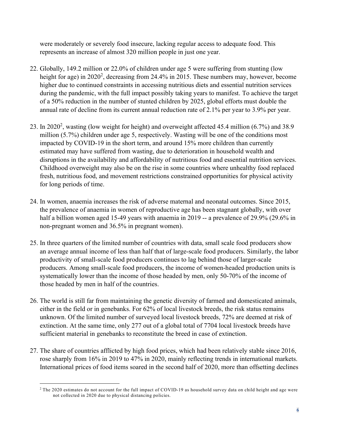were moderately or severely food insecure, lacking regular access to adequate food. This represents an increase of almost 320 million people in just one year.

- 22. Globally, 149.2 million or 22.0% of children under age 5 were suffering from stunting (low height for age) in 2020<sup>2</sup>, decreasing from 24.4% in 2015. These numbers may, however, become higher due to continued constraints in accessing nutritious diets and essential nutrition services during the pandemic, with the full impact possibly taking years to manifest. To achieve the target of a 50% reduction in the number of stunted children by 2025, global efforts must double the annual rate of decline from its current annual reduction rate of 2.1% per year to 3.9% per year.
- 23. In 2020<sup>2</sup>, wasting (low weight for height) and overweight affected 45.4 million  $(6.7%)$  and 38.9 million (5.7%) children under age 5, respectively. Wasting will be one of the conditions most impacted by COVID-19 in the short term, and around 15% more children than currently estimated may have suffered from wasting, due to deterioration in household wealth and disruptions in the availability and affordability of nutritious food and essential nutrition services. Childhood overweight may also be on the rise in some countries where unhealthy food replaced fresh, nutritious food, and movement restrictions constrained opportunities for physical activity for long periods of time.
- 24. In women, anaemia increases the risk of adverse maternal and neonatal outcomes. Since 2015, the prevalence of anaemia in women of reproductive age has been stagnant globally, with over half a billion women aged 15-49 years with anaemia in 2019 -- a prevalence of 29.9% (29.6% in non-pregnant women and 36.5% in pregnant women).
- 25. In three quarters of the limited number of countries with data, small scale food producers show an average annual income of less than half that of large-scale food producers. Similarly, the labor productivity of small-scale food producers continues to lag behind those of larger-scale producers. Among small-scale food producers, the income of women-headed production units is systematically lower than the income of those headed by men, only 50-70% of the income of those headed by men in half of the countries.
- 26. The world is still far from maintaining the genetic diversity of farmed and domesticated animals, either in the field or in genebanks. For 62% of local livestock breeds, the risk status remains unknown. Of the limited number of surveyed local livestock breeds, 72% are deemed at risk of extinction. At the same time, only 277 out of a global total of 7704 local livestock breeds have sufficient material in genebanks to reconstitute the breed in case of extinction.
- 27. The share of countries afflicted by high food prices, which had been relatively stable since 2016, rose sharply from 16% in 2019 to 47% in 2020, mainly reflecting trends in international markets. International prices of food items soared in the second half of 2020, more than offsetting declines

 $2$  The 2020 estimates do not account for the full impact of COVID-19 as household survey data on child height and age were not collected in 2020 due to physical distancing policies.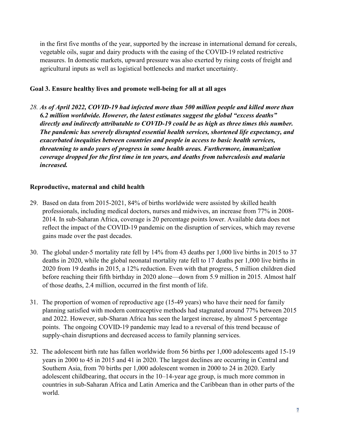in the first five months of the year, supported by the increase in international demand for cereals, vegetable oils, sugar and dairy products with the easing of the COVID-19 related restrictive measures. In domestic markets, upward pressure was also exerted by rising costs of freight and agricultural inputs as well as logistical bottlenecks and market uncertainty.

### Goal 3. Ensure healthy lives and promote well-being for all at all ages

28. As of April 2022, COVID-19 had infected more than 500 million people and killed more than 6.2 million worldwide. However, the latest estimates suggest the global "excess deaths" directly and indirectly attributable to COVID-19 could be as high as three times this number. The pandemic has severely disrupted essential health services, shortened life expectancy, and exacerbated inequities between countries and people in access to basic health services, threatening to undo years of progress in some health areas. Furthermore, immunization coverage dropped for the first time in ten years, and deaths from tuberculosis and malaria increased.

## Reproductive, maternal and child health

- 29. Based on data from 2015-2021, 84% of births worldwide were assisted by skilled health professionals, including medical doctors, nurses and midwives, an increase from 77% in 2008- 2014. In sub-Saharan Africa, coverage is 20 percentage points lower. Available data does not reflect the impact of the COVID-19 pandemic on the disruption of services, which may reverse gains made over the past decades.
- 30. The global under-5 mortality rate fell by 14% from 43 deaths per 1,000 live births in 2015 to 37 deaths in 2020, while the global neonatal mortality rate fell to 17 deaths per 1,000 live births in 2020 from 19 deaths in 2015, a 12% reduction. Even with that progress, 5 million children died before reaching their fifth birthday in 2020 alone—down from 5.9 million in 2015. Almost half of those deaths, 2.4 million, occurred in the first month of life.
- 31. The proportion of women of reproductive age (15-49 years) who have their need for family planning satisfied with modern contraceptive methods had stagnated around 77% between 2015 and 2022. However, sub-Sharan Africa has seen the largest increase, by almost 5 percentage points. The ongoing COVID-19 pandemic may lead to a reversal of this trend because of supply-chain disruptions and decreased access to family planning services.
- 32. The adolescent birth rate has fallen worldwide from 56 births per 1,000 adolescents aged 15-19 years in 2000 to 45 in 2015 and 41 in 2020. The largest declines are occurring in Central and Southern Asia, from 70 births per 1,000 adolescent women in 2000 to 24 in 2020. Early adolescent childbearing, that occurs in the 10–14-year age group, is much more common in countries in sub-Saharan Africa and Latin America and the Caribbean than in other parts of the world.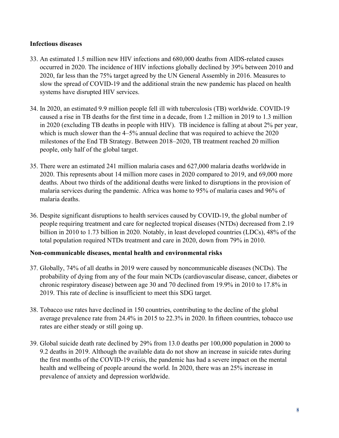### Infectious diseases

- 33. An estimated 1.5 million new HIV infections and 680,000 deaths from AIDS-related causes occurred in 2020. The incidence of HIV infections globally declined by 39% between 2010 and 2020, far less than the 75% target agreed by the UN General Assembly in 2016. Measures to slow the spread of COVID-19 and the additional strain the new pandemic has placed on health systems have disrupted HIV services.
- 34. In 2020, an estimated 9.9 million people fell ill with tuberculosis (TB) worldwide. COVID-19 caused a rise in TB deaths for the first time in a decade, from 1.2 million in 2019 to 1.3 million in 2020 (excluding TB deaths in people with HIV). TB incidence is falling at about 2% per year, which is much slower than the 4–5% annual decline that was required to achieve the 2020 milestones of the End TB Strategy. Between 2018–2020, TB treatment reached 20 million people, only half of the global target.
- 35. There were an estimated 241 million malaria cases and 627,000 malaria deaths worldwide in 2020. This represents about 14 million more cases in 2020 compared to 2019, and 69,000 more deaths. About two thirds of the additional deaths were linked to disruptions in the provision of malaria services during the pandemic. Africa was home to 95% of malaria cases and 96% of malaria deaths.
- 36. Despite significant disruptions to health services caused by COVID-19, the global number of people requiring treatment and care for neglected tropical diseases (NTDs) decreased from 2.19 billion in 2010 to 1.73 billion in 2020. Notably, in least developed countries (LDCs), 48% of the total population required NTDs treatment and care in 2020, down from 79% in 2010.

### Non-communicable diseases, mental health and environmental risks

- 37. Globally, 74% of all deaths in 2019 were caused by noncommunicable diseases (NCDs). The probability of dying from any of the four main NCDs (cardiovascular disease, cancer, diabetes or chronic respiratory disease) between age 30 and 70 declined from 19.9% in 2010 to 17.8% in 2019. This rate of decline is insufficient to meet this SDG target.
- 38. Tobacco use rates have declined in 150 countries, contributing to the decline of the global average prevalence rate from 24.4% in 2015 to 22.3% in 2020. In fifteen countries, tobacco use rates are either steady or still going up.
- 39. Global suicide death rate declined by 29% from 13.0 deaths per 100,000 population in 2000 to 9.2 deaths in 2019. Although the available data do not show an increase in suicide rates during the first months of the COVID-19 crisis, the pandemic has had a severe impact on the mental health and wellbeing of people around the world. In 2020, there was an 25% increase in prevalence of anxiety and depression worldwide.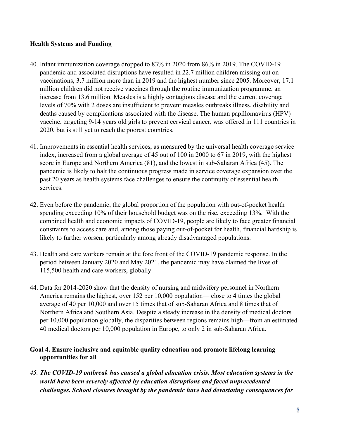### Health Systems and Funding

- 40. Infant immunization coverage dropped to 83% in 2020 from 86% in 2019. The COVID-19 pandemic and associated disruptions have resulted in 22.7 million children missing out on vaccinations, 3.7 million more than in 2019 and the highest number since 2005. Moreover, 17.1 million children did not receive vaccines through the routine immunization programme, an increase from 13.6 million. Measles is a highly contagious disease and the current coverage levels of 70% with 2 doses are insufficient to prevent measles outbreaks illness, disability and deaths caused by complications associated with the disease. The human papillomavirus (HPV) vaccine, targeting 9-14 years old girls to prevent cervical cancer, was offered in 111 countries in 2020, but is still yet to reach the poorest countries.
- 41. Improvements in essential health services, as measured by the universal health coverage service index, increased from a global average of 45 out of 100 in 2000 to 67 in 2019, with the highest score in Europe and Northern America (81), and the lowest in sub-Saharan Africa (45). The pandemic is likely to halt the continuous progress made in service coverage expansion over the past 20 years as health systems face challenges to ensure the continuity of essential health services.
- 42. Even before the pandemic, the global proportion of the population with out-of-pocket health spending exceeding 10% of their household budget was on the rise, exceeding 13%. With the combined health and economic impacts of COVID-19, people are likely to face greater financial constraints to access care and, among those paying out-of-pocket for health, financial hardship is likely to further worsen, particularly among already disadvantaged populations.
- 43. Health and care workers remain at the fore front of the COVID-19 pandemic response. In the period between January 2020 and May 2021, the pandemic may have claimed the lives of 115,500 health and care workers, globally.
- 44. Data for 2014-2020 show that the density of nursing and midwifery personnel in Northern America remains the highest, over 152 per 10,000 population— close to 4 times the global average of 40 per 10,000 and over 15 times that of sub-Saharan Africa and 8 times that of Northern Africa and Southern Asia. Despite a steady increase in the density of medical doctors per 10,000 population globally, the disparities between regions remains high—from an estimated 40 medical doctors per 10,000 population in Europe, to only 2 in sub-Saharan Africa.

## Goal 4. Ensure inclusive and equitable quality education and promote lifelong learning opportunities for all

45. The COVID-19 outbreak has caused a global education crisis. Most education systems in the world have been severely affected by education disruptions and faced unprecedented challenges. School closures brought by the pandemic have had devastating consequences for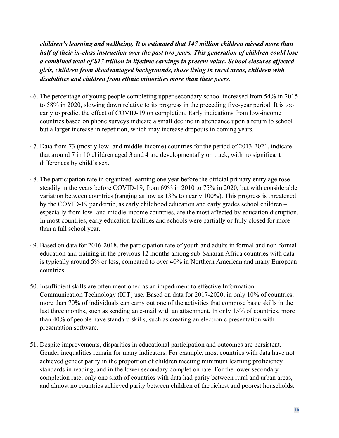children's learning and wellbeing. It is estimated that 147 million children missed more than half of their in-class instruction over the past two years. This generation of children could lose a combined total of \$17 trillion in lifetime earnings in present value. School closures affected girls, children from disadvantaged backgrounds, those living in rural areas, children with disabilities and children from ethnic minorities more than their peers.

- 46. The percentage of young people completing upper secondary school increased from 54% in 2015 to 58% in 2020, slowing down relative to its progress in the preceding five-year period. It is too early to predict the effect of COVID-19 on completion. Early indications from low-income countries based on phone surveys indicate a small decline in attendance upon a return to school but a larger increase in repetition, which may increase dropouts in coming years.
- 47. Data from 73 (mostly low- and middle-income) countries for the period of 2013-2021, indicate that around 7 in 10 children aged 3 and 4 are developmentally on track, with no significant differences by child's sex.
- 48. The participation rate in organized learning one year before the official primary entry age rose steadily in the years before COVID-19, from 69% in 2010 to 75% in 2020, but with considerable variation between countries (ranging as low as 13% to nearly 100%). This progress is threatened by the COVID-19 pandemic, as early childhood education and early grades school children – especially from low- and middle-income countries, are the most affected by education disruption. In most countries, early education facilities and schools were partially or fully closed for more than a full school year.
- 49. Based on data for 2016-2018, the participation rate of youth and adults in formal and non-formal education and training in the previous 12 months among sub-Saharan Africa countries with data is typically around 5% or less, compared to over 40% in Northern American and many European countries.
- 50. Insufficient skills are often mentioned as an impediment to effective Information Communication Technology (ICT) use. Based on data for 2017-2020, in only 10% of countries, more than 70% of individuals can carry out one of the activities that compose basic skills in the last three months, such as sending an e-mail with an attachment. In only 15% of countries, more than 40% of people have standard skills, such as creating an electronic presentation with presentation software.
- 51. Despite improvements, disparities in educational participation and outcomes are persistent. Gender inequalities remain for many indicators. For example, most countries with data have not achieved gender parity in the proportion of children meeting minimum learning proficiency standards in reading, and in the lower secondary completion rate. For the lower secondary completion rate, only one sixth of countries with data had parity between rural and urban areas, and almost no countries achieved parity between children of the richest and poorest households.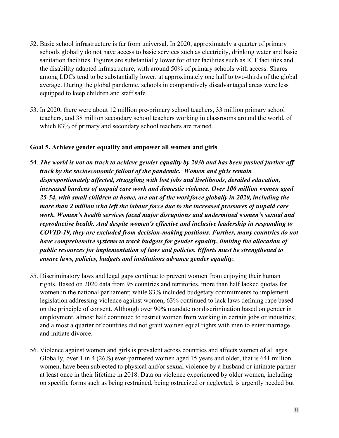- 52. Basic school infrastructure is far from universal. In 2020, approximately a quarter of primary schools globally do not have access to basic services such as electricity, drinking water and basic sanitation facilities. Figures are substantially lower for other facilities such as ICT facilities and the disability adapted infrastructure, with around 50% of primary schools with access. Shares among LDCs tend to be substantially lower, at approximately one half to two-thirds of the global average. During the global pandemic, schools in comparatively disadvantaged areas were less equipped to keep children and staff safe.
- 53. In 2020, there were about 12 million pre-primary school teachers, 33 million primary school teachers, and 38 million secondary school teachers working in classrooms around the world, of which 83% of primary and secondary school teachers are trained.

### Goal 5. Achieve gender equality and empower all women and girls

- 54. The world is not on track to achieve gender equality by 2030 and has been pushed further off track by the socioeconomic fallout of the pandemic. Women and girls remain disproportionately affected, struggling with lost jobs and livelihoods, derailed education, increased burdens of unpaid care work and domestic violence. Over 100 million women aged 25-54, with small children at home, are out of the workforce globally in 2020, including the more than 2 million who left the labour force due to the increased pressures of unpaid care work. Women's health services faced major disruptions and undermined women's sexual and reproductive health. And despite women's effective and inclusive leadership in responding to COVID-19, they are excluded from decision-making positions. Further, many countries do not have comprehensive systems to track budgets for gender equality, limiting the allocation of public resources for implementation of laws and policies. Efforts must be strengthened to ensure laws, policies, budgets and institutions advance gender equality.
- 55. Discriminatory laws and legal gaps continue to prevent women from enjoying their human rights. Based on 2020 data from 95 countries and territories, more than half lacked quotas for women in the national parliament; while 83% included budgetary commitments to implement legislation addressing violence against women, 63% continued to lack laws defining rape based on the principle of consent. Although over 90% mandate nondiscrimination based on gender in employment, almost half continued to restrict women from working in certain jobs or industries; and almost a quarter of countries did not grant women equal rights with men to enter marriage and initiate divorce.
- 56. Violence against women and girls is prevalent across countries and affects women of all ages. Globally, over 1 in 4 (26%) ever-partnered women aged 15 years and older, that is 641 million women, have been subjected to physical and/or sexual violence by a husband or intimate partner at least once in their lifetime in 2018. Data on violence experienced by older women, including on specific forms such as being restrained, being ostracized or neglected, is urgently needed but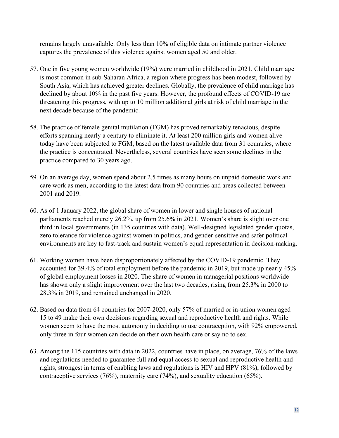remains largely unavailable. Only less than 10% of eligible data on intimate partner violence captures the prevalence of this violence against women aged 50 and older.

- 57. One in five young women worldwide (19%) were married in childhood in 2021. Child marriage is most common in sub-Saharan Africa, a region where progress has been modest, followed by South Asia, which has achieved greater declines. Globally, the prevalence of child marriage has declined by about 10% in the past five years. However, the profound effects of COVID-19 are threatening this progress, with up to 10 million additional girls at risk of child marriage in the next decade because of the pandemic.
- 58. The practice of female genital mutilation (FGM) has proved remarkably tenacious, despite efforts spanning nearly a century to eliminate it. At least 200 million girls and women alive today have been subjected to FGM, based on the latest available data from 31 countries, where the practice is concentrated. Nevertheless, several countries have seen some declines in the practice compared to 30 years ago.
- 59. On an average day, women spend about 2.5 times as many hours on unpaid domestic work and care work as men, according to the latest data from 90 countries and areas collected between 2001 and 2019.
- 60. As of 1 January 2022, the global share of women in lower and single houses of national parliaments reached merely 26.2%, up from 25.6% in 2021. Women's share is slight over one third in local governments (in 135 countries with data). Well-designed legislated gender quotas, zero tolerance for violence against women in politics, and gender-sensitive and safer political environments are key to fast-track and sustain women's equal representation in decision-making.
- 61. Working women have been disproportionately affected by the COVID-19 pandemic. They accounted for 39.4% of total employment before the pandemic in 2019, but made up nearly 45% of global employment losses in 2020. The share of women in managerial positions worldwide has shown only a slight improvement over the last two decades, rising from 25.3% in 2000 to 28.3% in 2019, and remained unchanged in 2020.
- 62. Based on data from 64 countries for 2007-2020, only 57% of married or in-union women aged 15 to 49 make their own decisions regarding sexual and reproductive health and rights. While women seem to have the most autonomy in deciding to use contraception, with 92% empowered, only three in four women can decide on their own health care or say no to sex.
- 63. Among the 115 countries with data in 2022, countries have in place, on average, 76% of the laws and regulations needed to guarantee full and equal access to sexual and reproductive health and rights, strongest in terms of enabling laws and regulations is HIV and HPV (81%), followed by contraceptive services (76%), maternity care (74%), and sexuality education (65%).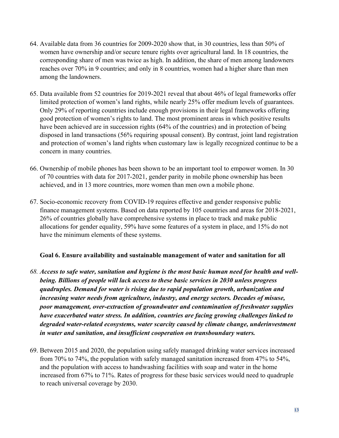- 64. Available data from 36 countries for 2009-2020 show that, in 30 countries, less than 50% of women have ownership and/or secure tenure rights over agricultural land. In 18 countries, the corresponding share of men was twice as high. In addition, the share of men among landowners reaches over 70% in 9 countries; and only in 8 countries, women had a higher share than men among the landowners.
- 65. Data available from 52 countries for 2019-2021 reveal that about 46% of legal frameworks offer limited protection of women's land rights, while nearly 25% offer medium levels of guarantees. Only 29% of reporting countries include enough provisions in their legal frameworks offering good protection of women's rights to land. The most prominent areas in which positive results have been achieved are in succession rights (64% of the countries) and in protection of being disposed in land transactions (56% requiring spousal consent). By contrast, joint land registration and protection of women's land rights when customary law is legally recognized continue to be a concern in many countries.
- 66. Ownership of mobile phones has been shown to be an important tool to empower women. In 30 of 70 countries with data for 2017-2021, gender parity in mobile phone ownership has been achieved, and in 13 more countries, more women than men own a mobile phone.
- 67. Socio-economic recovery from COVID-19 requires effective and gender responsive public finance management systems. Based on data reported by 105 countries and areas for 2018-2021, 26% of countries globally have comprehensive systems in place to track and make public allocations for gender equality, 59% have some features of a system in place, and 15% do not have the minimum elements of these systems.

### Goal 6. Ensure availability and sustainable management of water and sanitation for all

- 68. Access to safe water, sanitation and hygiene is the most basic human need for health and wellbeing. Billions of people will lack access to these basic services in 2030 unless progress quadruples. Demand for water is rising due to rapid population growth, urbanization and increasing water needs from agriculture, industry, and energy sectors. Decades of misuse, poor management, over-extraction of groundwater and contamination of freshwater supplies have exacerbated water stress. In addition, countries are facing growing challenges linked to degraded water-related ecosystems, water scarcity caused by climate change, underinvestment in water and sanitation, and insufficient cooperation on transboundary waters.
- 69. Between 2015 and 2020, the population using safely managed drinking water services increased from 70% to 74%, the population with safely managed sanitation increased from 47% to 54%, and the population with access to handwashing facilities with soap and water in the home increased from 67% to 71%. Rates of progress for these basic services would need to quadruple to reach universal coverage by 2030.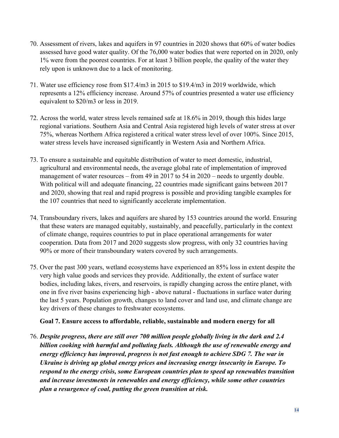- 70. Assessment of rivers, lakes and aquifers in 97 countries in 2020 shows that 60% of water bodies assessed have good water quality. Of the 76,000 water bodies that were reported on in 2020, only 1% were from the poorest countries. For at least 3 billion people, the quality of the water they rely upon is unknown due to a lack of monitoring.
- 71. Water use efficiency rose from \$17.4/m3 in 2015 to \$19.4/m3 in 2019 worldwide, which represents a 12% efficiency increase. Around 57% of countries presented a water use efficiency equivalent to \$20/m3 or less in 2019.
- 72. Across the world, water stress levels remained safe at 18.6% in 2019, though this hides large regional variations. Southern Asia and Central Asia registered high levels of water stress at over 75%, whereas Northern Africa registered a critical water stress level of over 100%. Since 2015, water stress levels have increased significantly in Western Asia and Northern Africa.
- 73. To ensure a sustainable and equitable distribution of water to meet domestic, industrial, agricultural and environmental needs, the average global rate of implementation of improved management of water resources – from 49 in 2017 to 54 in 2020 – needs to urgently double. With political will and adequate financing, 22 countries made significant gains between 2017 and 2020, showing that real and rapid progress is possible and providing tangible examples for the 107 countries that need to significantly accelerate implementation.
- 74. Transboundary rivers, lakes and aquifers are shared by 153 countries around the world. Ensuring that these waters are managed equitably, sustainably, and peacefully, particularly in the context of climate change, requires countries to put in place operational arrangements for water cooperation. Data from 2017 and 2020 suggests slow progress, with only 32 countries having 90% or more of their transboundary waters covered by such arrangements.
- 75. Over the past 300 years, wetland ecosystems have experienced an 85% loss in extent despite the very high value goods and services they provide. Additionally, the extent of surface water bodies, including lakes, rivers, and reservoirs, is rapidly changing across the entire planet, with one in five river basins experiencing high - above natural - fluctuations in surface water during the last 5 years. Population growth, changes to land cover and land use, and climate change are key drivers of these changes to freshwater ecosystems.

### Goal 7. Ensure access to affordable, reliable, sustainable and modern energy for all

76. Despite progress, there are still over 700 million people globally living in the dark and 2.4 billion cooking with harmful and polluting fuels. Although the use of renewable energy and energy efficiency has improved, progress is not fast enough to achieve SDG 7. The war in Ukraine is driving up global energy prices and increasing energy insecurity in Europe. To respond to the energy crisis, some European countries plan to speed up renewables transition and increase investments in renewables and energy efficiency, while some other countries plan a resurgence of coal, putting the green transition at risk.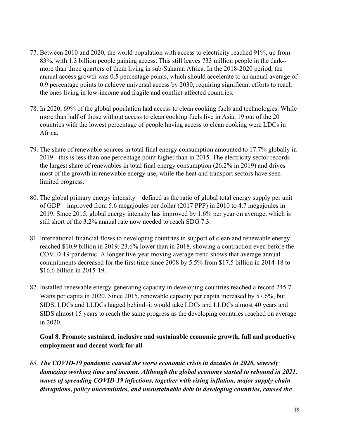- 77. Between 2010 and 2020, the world population with access to electricity reached 91%, up from 83%, with 1.3 billion people gaining access. This still leaves 733 million people in the dark- more than three quarters of them living in sub-Saharan Africa. In the 2018-2020 period, the annual access growth was 0.5 percentage points, which should accelerate to an annual average of 0.9 percentage points to achieve universal access by 2030, requiring significant efforts to reach the ones living in low-income and fragile and conflict-affected countries.
- 78. In 2020, 69% of the global population had access to clean cooking fuels and technologies. While more than half of those without access to clean cooking fuels live in Asia, 19 out of the 20 countries with the lowest percentage of people having access to clean cooking were LDCs in Africa.
- 79. The share of renewable sources in total final energy consumption amounted to 17.7% globally in 2019 - this is less than one percentage point higher than in 2015. The electricity sector records the largest share of renewables in total final energy consumption (26.2% in 2019) and drives most of the growth in renewable energy use, while the heat and transport sectors have seen limited progress.
- 80. The global primary energy intensity—defined as the ratio of global total energy supply per unit of GDP—improved from 5.6 megajoules per dollar (2017 PPP) in 2010 to 4.7 megajoules in 2019. Since 2015, global energy intensity has improved by 1.6% per year on average, which is still short of the 3.2% annual rate now needed to reach SDG 7.3.
- 81. International financial flows to developing countries in support of clean and renewable energy reached \$10.9 billion in 2019, 23.6% lower than in 2018, showing a contraction even before the COVID-19 pandemic. A longer five-year moving average trend shows that average annual commitments decreased for the first time since 2008 by 5.5% from \$17.5 billion in 2014-18 to \$16.6 billion in 2015-19.
- 82. Installed renewable energy-generating capacity in developing countries reached a record 245.7 Watts per capita in 2020. Since 2015, renewable capacity per capita increased by 57.6%, but SIDS, LDCs and LLDCs lagged behind–it would take LDCs and LLDCs almost 40 years and SIDS almost 15 years to reach the same progress as the developing countries reached on average in 2020.

## Goal 8. Promote sustained, inclusive and sustainable economic growth, full and productive employment and decent work for all

83. The COVID-19 pandemic caused the worst economic crisis in decades in 2020, severely damaging working time and income. Although the global economy started to rebound in 2021, waves of spreading COVID-19 infections, together with rising inflation, major supply-chain disruptions, policy uncertainties, and unsustainable debt in developing countries, caused the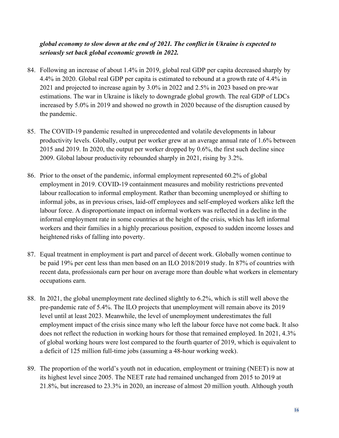## global economy to slow down at the end of 2021. The conflict in Ukraine is expected to seriously set back global economic growth in 2022.

- 84. Following an increase of about 1.4% in 2019, global real GDP per capita decreased sharply by 4.4% in 2020. Global real GDP per capita is estimated to rebound at a growth rate of 4.4% in 2021 and projected to increase again by 3.0% in 2022 and 2.5% in 2023 based on pre-war estimations. The war in Ukraine is likely to downgrade global growth. The real GDP of LDCs increased by 5.0% in 2019 and showed no growth in 2020 because of the disruption caused by the pandemic.
- 85. The COVID-19 pandemic resulted in unprecedented and volatile developments in labour productivity levels. Globally, output per worker grew at an average annual rate of 1.6% between 2015 and 2019. In 2020, the output per worker dropped by 0.6%, the first such decline since 2009. Global labour productivity rebounded sharply in 2021, rising by 3.2%.
- 86. Prior to the onset of the pandemic, informal employment represented 60.2% of global employment in 2019. COVID-19 containment measures and mobility restrictions prevented labour reallocation to informal employment. Rather than becoming unemployed or shifting to informal jobs, as in previous crises, laid-off employees and self-employed workers alike left the labour force. A disproportionate impact on informal workers was reflected in a decline in the informal employment rate in some countries at the height of the crisis, which has left informal workers and their families in a highly precarious position, exposed to sudden income losses and heightened risks of falling into poverty.
- 87. Equal treatment in employment is part and parcel of decent work. Globally women continue to be paid 19% per cent less than men based on an ILO 2018/2019 study. In 87% of countries with recent data, professionals earn per hour on average more than double what workers in elementary occupations earn.
- 88. In 2021, the global unemployment rate declined slightly to 6.2%, which is still well above the pre-pandemic rate of 5.4%. The ILO projects that unemployment will remain above its 2019 level until at least 2023. Meanwhile, the level of unemployment underestimates the full employment impact of the crisis since many who left the labour force have not come back. It also does not reflect the reduction in working hours for those that remained employed. In 2021, 4.3% of global working hours were lost compared to the fourth quarter of 2019, which is equivalent to a deficit of 125 million full-time jobs (assuming a 48‑hour working week).
- 89. The proportion of the world's youth not in education, employment or training (NEET) is now at its highest level since 2005. The NEET rate had remained unchanged from 2015 to 2019 at 21.8%, but increased to 23.3% in 2020, an increase of almost 20 million youth. Although youth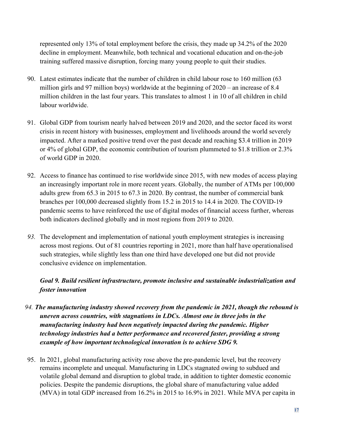represented only 13% of total employment before the crisis, they made up 34.2% of the 2020 decline in employment. Meanwhile, both technical and vocational education and on-the-job training suffered massive disruption, forcing many young people to quit their studies.

- 90. Latest estimates indicate that the number of children in child labour rose to 160 million (63 million girls and 97 million boys) worldwide at the beginning of 2020 – an increase of 8.4 million children in the last four years. This translates to almost 1 in 10 of all children in child labour worldwide.
- 91. Global GDP from tourism nearly halved between 2019 and 2020, and the sector faced its worst crisis in recent history with businesses, employment and livelihoods around the world severely impacted. After a marked positive trend over the past decade and reaching \$3.4 trillion in 2019 or 4% of global GDP, the economic contribution of tourism plummeted to \$1.8 trillion or 2.3% of world GDP in 2020.
- 92. Access to finance has continued to rise worldwide since 2015, with new modes of access playing an increasingly important role in more recent years. Globally, the number of ATMs per 100,000 adults grew from 65.3 in 2015 to 67.3 in 2020. By contrast, the number of commercial bank branches per 100,000 decreased slightly from 15.2 in 2015 to 14.4 in 2020. The COVID-19 pandemic seems to have reinforced the use of digital modes of financial access further, whereas both indicators declined globally and in most regions from 2019 to 2020.
- 93. The development and implementation of national youth employment strategies is increasing across most regions. Out of 81 countries reporting in 2021, more than half have operationalised such strategies, while slightly less than one third have developed one but did not provide conclusive evidence on implementation.

## Goal 9. Build resilient infrastructure, promote inclusive and sustainable industrialization and foster innovation

- 94. The manufacturing industry showed recovery from the pandemic in 2021, though the rebound is uneven across countries, with stagnations in LDCs. Almost one in three jobs in the manufacturing industry had been negatively impacted during the pandemic. Higher technology industries had a better performance and recovered faster, providing a strong example of how important technological innovation is to achieve SDG 9.
- 95. In 2021, global manufacturing activity rose above the pre-pandemic level, but the recovery remains incomplete and unequal. Manufacturing in LDCs stagnated owing to subdued and volatile global demand and disruption to global trade, in addition to tighter domestic economic policies. Despite the pandemic disruptions, the global share of manufacturing value added (MVA) in total GDP increased from 16.2% in 2015 to 16.9% in 2021. While MVA per capita in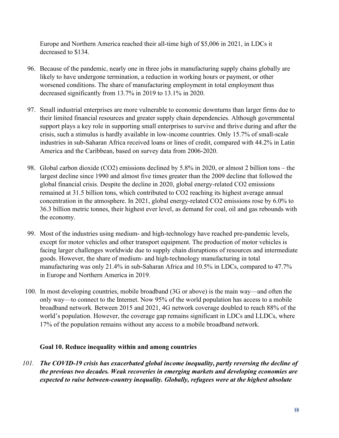Europe and Northern America reached their all-time high of \$5,006 in 2021, in LDCs it decreased to \$134.

- 96. Because of the pandemic, nearly one in three jobs in manufacturing supply chains globally are likely to have undergone termination, a reduction in working hours or payment, or other worsened conditions. The share of manufacturing employment in total employment thus decreased significantly from 13.7% in 2019 to 13.1% in 2020.
- 97. Small industrial enterprises are more vulnerable to economic downturns than larger firms due to their limited financial resources and greater supply chain dependencies. Although governmental support plays a key role in supporting small enterprises to survive and thrive during and after the crisis, such a stimulus is hardly available in low-income countries. Only 15.7% of small-scale industries in sub-Saharan Africa received loans or lines of credit, compared with 44.2% in Latin America and the Caribbean, based on survey data from 2006-2020.
- 98. Global carbon dioxide (CO2) emissions declined by 5.8% in 2020, or almost 2 billion tons the largest decline since 1990 and almost five times greater than the 2009 decline that followed the global financial crisis. Despite the decline in 2020, global energy-related CO2 emissions remained at 31.5 billion tons, which contributed to CO2 reaching its highest average annual concentration in the atmosphere. In 2021, global energy-related CO2 emissions rose by 6.0% to 36.3 billion metric tonnes, their highest ever level, as demand for coal, oil and gas rebounds with the economy.
- 99. Most of the industries using medium- and high-technology have reached pre-pandemic levels, except for motor vehicles and other transport equipment. The production of motor vehicles is facing larger challenges worldwide due to supply chain disruptions of resources and intermediate goods. However, the share of medium- and high-technology manufacturing in total manufacturing was only 21.4% in sub-Saharan Africa and 10.5% in LDCs, compared to 47.7% in Europe and Northern America in 2019.
- 100. In most developing countries, mobile broadband (3G or above) is the main way—and often the only way—to connect to the Internet. Now 95% of the world population has access to a mobile broadband network. Between 2015 and 2021, 4G network coverage doubled to reach 88% of the world's population. However, the coverage gap remains significant in LDCs and LLDCs, where 17% of the population remains without any access to a mobile broadband network.

## Goal 10. Reduce inequality within and among countries

101. The COVID-19 crisis has exacerbated global income inequality, partly reversing the decline of the previous two decades. Weak recoveries in emerging markets and developing economies are expected to raise between-country inequality. Globally, refugees were at the highest absolute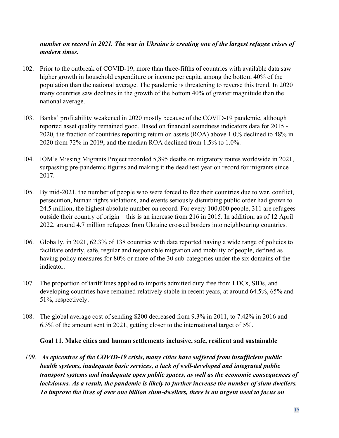### number on record in 2021. The war in Ukraine is creating one of the largest refugee crises of modern times.

- 102. Prior to the outbreak of COVID-19, more than three-fifths of countries with available data saw higher growth in household expenditure or income per capita among the bottom 40% of the population than the national average. The pandemic is threatening to reverse this trend. In 2020 many countries saw declines in the growth of the bottom 40% of greater magnitude than the national average.
- 103. Banks' profitability weakened in 2020 mostly because of the COVID-19 pandemic, although reported asset quality remained good. Based on financial soundness indicators data for 2015 - 2020, the fraction of countries reporting return on assets (ROA) above 1.0% declined to 48% in 2020 from 72% in 2019, and the median ROA declined from 1.5% to 1.0%.
- 104. IOM's Missing Migrants Project recorded 5,895 deaths on migratory routes worldwide in 2021, surpassing pre-pandemic figures and making it the deadliest year on record for migrants since 2017.
- 105. By mid-2021, the number of people who were forced to flee their countries due to war, conflict, persecution, human rights violations, and events seriously disturbing public order had grown to 24.5 million, the highest absolute number on record. For every 100,000 people, 311 are refugees outside their country of origin – this is an increase from 216 in 2015. In addition, as of 12 April 2022, around 4.7 million refugees from Ukraine crossed borders into neighbouring countries.
- 106. Globally, in 2021, 62.3% of 138 countries with data reported having a wide range of policies to facilitate orderly, safe, regular and responsible migration and mobility of people, defined as having policy measures for 80% or more of the 30 sub-categories under the six domains of the indicator.
- 107. The proportion of tariff lines applied to imports admitted duty free from LDCs, SIDs, and developing countries have remained relatively stable in recent years, at around 64.5%, 65% and 51%, respectively.
- 108. The global average cost of sending \$200 decreased from 9.3% in 2011, to 7.42% in 2016 and 6.3% of the amount sent in 2021, getting closer to the international target of 5%.

### Goal 11. Make cities and human settlements inclusive, safe, resilient and sustainable

109. As epicentres of the COVID-19 crisis, many cities have suffered from insufficient public health systems, inadequate basic services, a lack of well-developed and integrated public transport systems and inadequate open public spaces, as well as the economic consequences of lockdowns. As a result, the pandemic is likely to further increase the number of slum dwellers. To improve the lives of over one billion slum-dwellers, there is an urgent need to focus on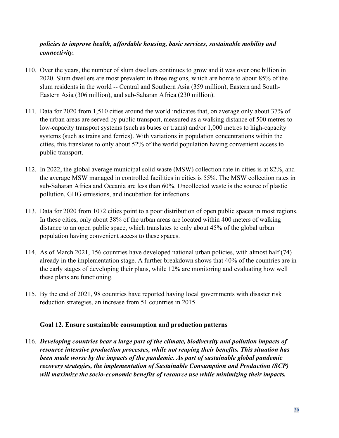## policies to improve health, affordable housing, basic services, sustainable mobility and connectivity.

- 110. Over the years, the number of slum dwellers continues to grow and it was over one billion in 2020. Slum dwellers are most prevalent in three regions, which are home to about 85% of the slum residents in the world -- Central and Southern Asia (359 million), Eastern and South-Eastern Asia (306 million), and sub-Saharan Africa (230 million).
- 111. Data for 2020 from 1,510 cities around the world indicates that, on average only about 37% of the urban areas are served by public transport, measured as a walking distance of 500 metres to low-capacity transport systems (such as buses or trams) and/or 1,000 metres to high-capacity systems (such as trains and ferries). With variations in population concentrations within the cities, this translates to only about 52% of the world population having convenient access to public transport.
- 112. In 2022, the global average municipal solid waste (MSW) collection rate in cities is at 82%, and the average MSW managed in controlled facilities in cities is 55%. The MSW collection rates in sub-Saharan Africa and Oceania are less than 60%. Uncollected waste is the source of plastic pollution, GHG emissions, and incubation for infections.
- 113. Data for 2020 from 1072 cities point to a poor distribution of open public spaces in most regions. In these cities, only about 38% of the urban areas are located within 400 meters of walking distance to an open public space, which translates to only about 45% of the global urban population having convenient access to these spaces.
- 114. As of March 2021, 156 countries have developed national urban policies, with almost half (74) already in the implementation stage. A further breakdown shows that 40% of the countries are in the early stages of developing their plans, while 12% are monitoring and evaluating how well these plans are functioning.
- 115. By the end of 2021, 98 countries have reported having local governments with disaster risk reduction strategies, an increase from 51 countries in 2015.

### Goal 12. Ensure sustainable consumption and production patterns

116. Developing countries bear a large part of the climate, biodiversity and pollution impacts of resource intensive production processes, while not reaping their benefits. This situation has been made worse by the impacts of the pandemic. As part of sustainable global pandemic recovery strategies, the implementation of Sustainable Consumption and Production (SCP) will maximize the socio-economic benefits of resource use while minimizing their impacts.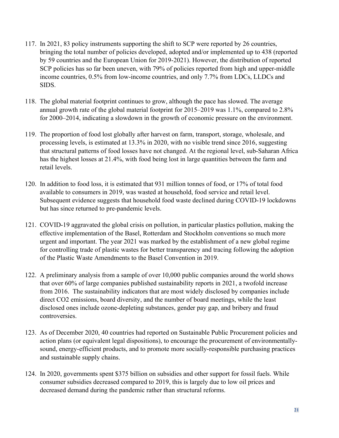- 117. In 2021, 83 policy instruments supporting the shift to SCP were reported by 26 countries, bringing the total number of policies developed, adopted and/or implemented up to 438 (reported by 59 countries and the European Union for 2019-2021). However, the distribution of reported SCP policies has so far been uneven, with 79% of policies reported from high and upper-middle income countries, 0.5% from low-income countries, and only 7.7% from LDCs, LLDCs and SIDS.
- 118. The global material footprint continues to grow, although the pace has slowed. The average annual growth rate of the global material footprint for 2015–2019 was 1.1%, compared to 2.8% for 2000–2014, indicating a slowdown in the growth of economic pressure on the environment.
- 119. The proportion of food lost globally after harvest on farm, transport, storage, wholesale, and processing levels, is estimated at 13.3% in 2020, with no visible trend since 2016, suggesting that structural patterns of food losses have not changed. At the regional level, sub-Saharan Africa has the highest losses at 21.4%, with food being lost in large quantities between the farm and retail levels.
- 120. In addition to food loss, it is estimated that 931 million tonnes of food, or 17% of total food available to consumers in 2019, was wasted at household, food service and retail level. Subsequent evidence suggests that household food waste declined during COVID-19 lockdowns but has since returned to pre-pandemic levels.
- 121. COVID-19 aggravated the global crisis on pollution, in particular plastics pollution, making the effective implementation of the Basel, Rotterdam and Stockholm conventions so much more urgent and important. The year 2021 was marked by the establishment of a new global regime for controlling trade of plastic wastes for better transparency and tracing following the adoption of the Plastic Waste Amendments to the Basel Convention in 2019.
- 122. A preliminary analysis from a sample of over 10,000 public companies around the world shows that over 60% of large companies published sustainability reports in 2021, a twofold increase from 2016. The sustainability indicators that are most widely disclosed by companies include direct CO2 emissions, board diversity, and the number of board meetings, while the least disclosed ones include ozone-depleting substances, gender pay gap, and bribery and fraud controversies.
- 123. As of December 2020, 40 countries had reported on Sustainable Public Procurement policies and action plans (or equivalent legal dispositions), to encourage the procurement of environmentallysound, energy-efficient products, and to promote more socially-responsible purchasing practices and sustainable supply chains.
- 124. In 2020, governments spent \$375 billion on subsidies and other support for fossil fuels. While consumer subsidies decreased compared to 2019, this is largely due to low oil prices and decreased demand during the pandemic rather than structural reforms.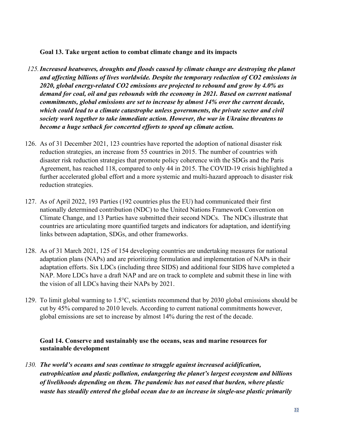### Goal 13. Take urgent action to combat climate change and its impacts

- 125.Increased heatwaves, droughts and floods caused by climate change are destroying the planet and affecting billions of lives worldwide. Despite the temporary reduction of CO2 emissions in 2020, global energy-related CO2 emissions are projected to rebound and grow by 4.0% as demand for coal, oil and gas rebounds with the economy in 2021. Based on current national commitments, global emissions are set to increase by almost 14% over the current decade, which could lead to a climate catastrophe unless governments, the private sector and civil society work together to take immediate action. However, the war in Ukraine threatens to become a huge setback for concerted efforts to speed up climate action.
- 126. As of 31 December 2021, 123 countries have reported the adoption of national disaster risk reduction strategies, an increase from 55 countries in 2015. The number of countries with disaster risk reduction strategies that promote policy coherence with the SDGs and the Paris Agreement, has reached 118, compared to only 44 in 2015. The COVID-19 crisis highlighted a further accelerated global effort and a more systemic and multi-hazard approach to disaster risk reduction strategies.
- 127. As of April 2022, 193 Parties (192 countries plus the EU) had communicated their first nationally determined contribution (NDC) to the United Nations Framework Convention on Climate Change, and 13 Parties have submitted their second NDCs. The NDCs illustrate that countries are articulating more quantified targets and indicators for adaptation, and identifying links between adaptation, SDGs, and other frameworks.
- 128. As of 31 March 2021, 125 of 154 developing countries are undertaking measures for national adaptation plans (NAPs) and are prioritizing formulation and implementation of NAPs in their adaptation efforts. Six LDCs (including three SIDS) and additional four SIDS have completed a NAP. More LDCs have a draft NAP and are on track to complete and submit these in line with the vision of all LDCs having their NAPs by 2021.
- 129. To limit global warming to 1.5°C, scientists recommend that by 2030 global emissions should be cut by 45% compared to 2010 levels. According to current national commitments however, global emissions are set to increase by almost 14% during the rest of the decade.

### Goal 14. Conserve and sustainably use the oceans, seas and marine resources for sustainable development

130. The world's oceans and seas continue to struggle against increased acidification, eutrophication and plastic pollution, endangering the planet's largest ecosystem and billions of livelihoods depending on them. The pandemic has not eased that burden, where plastic waste has steadily entered the global ocean due to an increase in single-use plastic primarily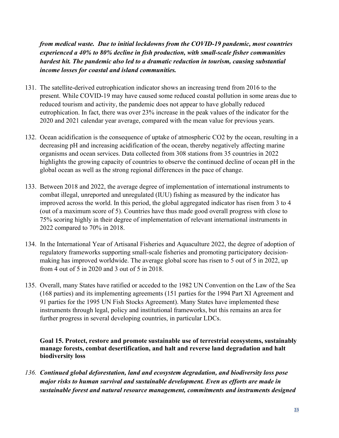from medical waste. Due to initial lockdowns from the COVID-19 pandemic, most countries experienced a 40% to 80% decline in fish production, with small-scale fisher communities hardest hit. The pandemic also led to a dramatic reduction in tourism, causing substantial income losses for coastal and island communities.

- 131. The satellite-derived eutrophication indicator shows an increasing trend from 2016 to the present. While COVID-19 may have caused some reduced coastal pollution in some areas due to reduced tourism and activity, the pandemic does not appear to have globally reduced eutrophication. In fact, there was over 23% increase in the peak values of the indicator for the 2020 and 2021 calendar year average, compared with the mean value for previous years.
- 132. Ocean acidification is the consequence of uptake of atmospheric CO2 by the ocean, resulting in a decreasing pH and increasing acidification of the ocean, thereby negatively affecting marine organisms and ocean services. Data collected from 308 stations from 35 countries in 2022 highlights the growing capacity of countries to observe the continued decline of ocean pH in the global ocean as well as the strong regional differences in the pace of change.
- 133. Between 2018 and 2022, the average degree of implementation of international instruments to combat illegal, unreported and unregulated (IUU) fishing as measured by the indicator has improved across the world. In this period, the global aggregated indicator has risen from 3 to 4 (out of a maximum score of 5). Countries have thus made good overall progress with close to 75% scoring highly in their degree of implementation of relevant international instruments in 2022 compared to 70% in 2018.
- 134. In the International Year of Artisanal Fisheries and Aquaculture 2022, the degree of adoption of regulatory frameworks supporting small-scale fisheries and promoting participatory decisionmaking has improved worldwide. The average global score has risen to 5 out of 5 in 2022, up from 4 out of 5 in 2020 and 3 out of 5 in 2018.
- 135. Overall, many States have ratified or acceded to the 1982 UN Convention on the Law of the Sea (168 parties) and its implementing agreements (151 parties for the 1994 Part XI Agreement and 91 parties for the 1995 UN Fish Stocks Agreement). Many States have implemented these instruments through legal, policy and institutional frameworks, but this remains an area for further progress in several developing countries, in particular LDCs.

Goal 15. Protect, restore and promote sustainable use of terrestrial ecosystems, sustainably manage forests, combat desertification, and halt and reverse land degradation and halt biodiversity loss

136. Continued global deforestation, land and ecosystem degradation, and biodiversity loss pose major risks to human survival and sustainable development. Even as efforts are made in sustainable forest and natural resource management, commitments and instruments designed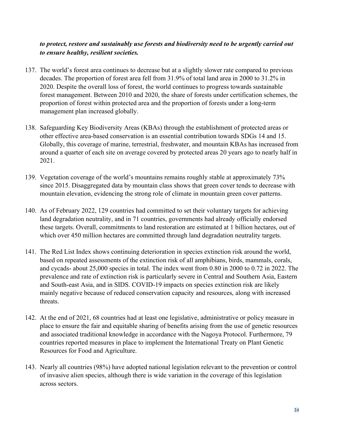## to protect, restore and sustainably use forests and biodiversity need to be urgently carried out to ensure healthy, resilient societies.

- 137. The world's forest area continues to decrease but at a slightly slower rate compared to previous decades. The proportion of forest area fell from 31.9% of total land area in 2000 to 31.2% in 2020. Despite the overall loss of forest, the world continues to progress towards sustainable forest management. Between 2010 and 2020, the share of forests under certification schemes, the proportion of forest within protected area and the proportion of forests under a long-term management plan increased globally.
- 138. Safeguarding Key Biodiversity Areas (KBAs) through the establishment of protected areas or other effective area-based conservation is an essential contribution towards SDGs 14 and 15. Globally, this coverage of marine, terrestrial, freshwater, and mountain KBAs has increased from around a quarter of each site on average covered by protected areas 20 years ago to nearly half in 2021.
- 139. Vegetation coverage of the world's mountains remains roughly stable at approximately 73% since 2015. Disaggregated data by mountain class shows that green cover tends to decrease with mountain elevation, evidencing the strong role of climate in mountain green cover patterns.
- 140. As of February 2022, 129 countries had committed to set their voluntary targets for achieving land degradation neutrality, and in 71 countries, governments had already officially endorsed these targets. Overall, commitments to land restoration are estimated at 1 billion hectares, out of which over 450 million hectares are committed through land degradation neutrality targets.
- 141. The Red List Index shows continuing deterioration in species extinction risk around the world, based on repeated assessments of the extinction risk of all amphibians, birds, mammals, corals, and cycads- about 25,000 species in total. The index went from 0.80 in 2000 to 0.72 in 2022. The prevalence and rate of extinction risk is particularly severe in Central and Southern Asia, Eastern and South-east Asia, and in SIDS. COVID-19 impacts on species extinction risk are likely mainly negative because of reduced conservation capacity and resources, along with increased threats.
- 142. At the end of 2021, 68 countries had at least one legislative, administrative or policy measure in place to ensure the fair and equitable sharing of benefits arising from the use of genetic resources and associated traditional knowledge in accordance with the Nagoya Protocol. Furthermore, 79 countries reported measures in place to implement the International Treaty on Plant Genetic Resources for Food and Agriculture.
- 143. Nearly all countries (98%) have adopted national legislation relevant to the prevention or control of invasive alien species, although there is wide variation in the coverage of this legislation across sectors.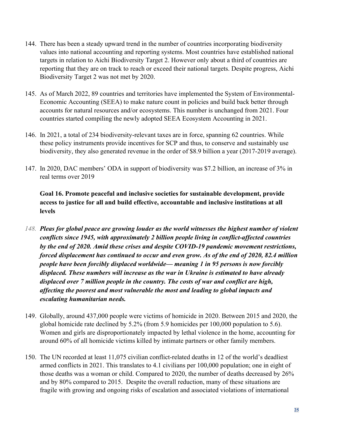- 144. There has been a steady upward trend in the number of countries incorporating biodiversity values into national accounting and reporting systems. Most countries have established national targets in relation to Aichi Biodiversity Target 2. However only about a third of countries are reporting that they are on track to reach or exceed their national targets. Despite progress, Aichi Biodiversity Target 2 was not met by 2020.
- 145. As of March 2022, 89 countries and territories have implemented the System of Environmental-Economic Accounting (SEEA) to make nature count in policies and build back better through accounts for natural resources and/or ecosystems. This number is unchanged from 2021. Four countries started compiling the newly adopted SEEA Ecosystem Accounting in 2021.
- 146. In 2021, a total of 234 biodiversity-relevant taxes are in force, spanning 62 countries. While these policy instruments provide incentives for SCP and thus, to conserve and sustainably use biodiversity, they also generated revenue in the order of \$8.9 billion a year (2017-2019 average).
- 147. In 2020, DAC members' ODA in support of biodiversity was \$7.2 billion, an increase of 3% in real terms over 2019

Goal 16. Promote peaceful and inclusive societies for sustainable development, provide access to justice for all and build effective, accountable and inclusive institutions at all levels

- 148. Pleas for global peace are growing louder as the world witnesses the highest number of violent conflicts since 1945, with approximately 2 billion people living in conflict-affected countries by the end of 2020. Amid these crises and despite COVID-19 pandemic movement restrictions, forced displacement has continued to occur and even grow. As of the end of 2020, 82.4 million people have been forcibly displaced worldwide— meaning 1 in 95 persons is now forcibly displaced. These numbers will increase as the war in Ukraine is estimated to have already displaced over 7 million people in the country. The costs of war and conflict are high, affecting the poorest and most vulnerable the most and leading to global impacts and escalating humanitarian needs.
- 149. Globally, around 437,000 people were victims of homicide in 2020. Between 2015 and 2020, the global homicide rate declined by 5.2% (from 5.9 homicides per 100,000 population to 5.6). Women and girls are disproportionately impacted by lethal violence in the home, accounting for around 60% of all homicide victims killed by intimate partners or other family members.
- 150. The UN recorded at least 11,075 civilian conflict-related deaths in 12 of the world's deadliest armed conflicts in 2021. This translates to 4.1 civilians per 100,000 population; one in eight of those deaths was a woman or child. Compared to 2020, the number of deaths decreased by 26% and by 80% compared to 2015. Despite the overall reduction, many of these situations are fragile with growing and ongoing risks of escalation and associated violations of international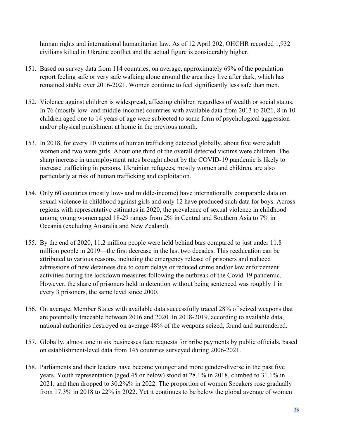human rights and international humanitarian law. As of 12 April 202, OHCHR recorded 1,932 civilians killed in Ukraine conflict and the actual figure is considerably higher.

- 151. Based on survey data from 114 countries, on average, approximately 69% of the population report feeling safe or very safe walking alone around the area they live after dark, which has remained stable over 2016-2021. Women continue to feel significantly less safe than men.
- 152. Violence against children is widespread, affecting children regardless of wealth or social status. In 76 (mostly low- and middle-income) countries with available data from 2013 to 2021, 8 in 10 children aged one to 14 years of age were subjected to some form of psychological aggression and/or physical punishment at home in the previous month.
- 153. In 2018, for every 10 victims of human trafficking detected globally, about five were adult women and two were girls. About one third of the overall detected victims were children. The sharp increase in unemployment rates brought about by the COVID-19 pandemic is likely to increase trafficking in persons. Ukrainian refugees, mostly women and children, are also particularly at risk of human trafficking and exploitation.
- 154. Only 60 countries (mostly low- and middle-income) have internationally comparable data on sexual violence in childhood against girls and only 12 have produced such data for boys. Across regions with representative estimates in 2020, the prevalence of sexual violence in childhood among young women aged 18-29 ranges from 2% in Central and Southern Asia to 7% in Oceania (excluding Australia and New Zealand).
- 155. By the end of 2020, 11.2 million people were held behind bars compared to just under 11.8 million people in 2019—the first decrease in the last two decades. This reeducation can be attributed to various reasons, including the emergency release of prisoners and reduced admissions of new detainees due to court delays or reduced crime and/or law enforcement activities during the lockdown measures following the outbreak of the Covid-19 pandemic. However, the share of prisoners held in detention without being sentenced was roughly 1 in every 3 prisoners, the same level since 2000.
- 156. On average, Member States with available data successfully traced 28% of seized weapons that are potentially traceable between 2016 and 2020. In 2018-2019, according to available data, national authorities destroyed on average 48% of the weapons seized, found and surrendered.
- 157. Globally, almost one in six businesses face requests for bribe payments by public officials, based on establishment-level data from 145 countries surveyed during 2006-2021.
- 158. Parliaments and their leaders have become younger and more gender-diverse in the past five years. Youth representation (aged 45 or below) stood at 28.1% in 2018, climbed to 31.1% in 2021, and then dropped to 30.2%% in 2022. The proportion of women Speakers rose gradually from 17.3% in 2018 to 22% in 2022. Yet it continues to be below the global average of women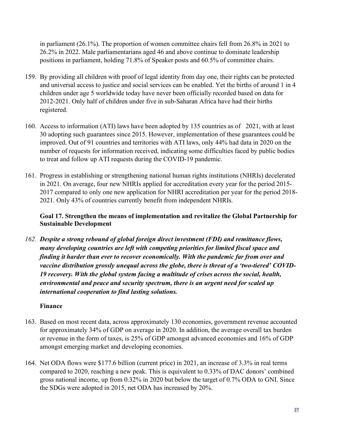in parliament (26.1%). The proportion of women committee chairs fell from 26.8% in 2021 to 26.2% in 2022. Male parliamentarians aged 46 and above continue to dominate leadership positions in parliament, holding 71.8% of Speaker posts and 60.5% of committee chairs.

- 159. By providing all children with proof of legal identity from day one, their rights can be protected and universal access to justice and social services can be enabled. Yet the births of around 1 in 4 children under age 5 worldwide today have never been officially recorded based on data for 2012-2021. Only half of children under five in sub-Saharan Africa have had their births registered.
- 160. Access to information (ATI) laws have been adopted by 135 countries as of 2021, with at least 30 adopting such guarantees since 2015. However, implementation of these guarantees could be improved. Out of 91 countries and territories with ATI laws, only 44% had data in 2020 on the number of requests for information received, indicating some difficulties faced by public bodies to treat and follow up ATI requests during the COVID-19 pandemic.
- 161. Progress in establishing or strengthening national human rights institutions (NHRIs) decelerated in 2021. On average, four new NHRIs applied for accreditation every year for the period 2015- 2017 compared to only one new application for NHRI accreditation per year for the period 2018- 2021. Only 43% of countries currently benefit from independent NHRIs.

## Goal 17. Strengthen the means of implementation and revitalize the Global Partnership for Sustainable Development

162. Despite a strong rebound of global foreign direct investment (FDI) and remittance flows, many developing countries are left with competing priorities for limited fiscal space and finding it harder than ever to recover economically. With the pandemic far from over and vaccine distribution grossly unequal across the globe, there is threat of a 'two-tiered' COVID-19 recovery. With the global system facing a multitude of crises across the social, health, environmental and peace and security spectrum, there is an urgent need for scaled up international cooperation to find lasting solutions.

## Finance

- 163. Based on most recent data, across approximately 130 economies, government revenue accounted for approximately 34% of GDP on average in 2020. In addition, the average overall tax burden or revenue in the form of taxes, is 25% of GDP amongst advanced economies and 16% of GDP amongst emerging market and developing economies.
- 164. Net ODA flows were \$177.6 billion (current price) in 2021, an increase of 3.3% in real terms compared to 2020, reaching a new peak. This is equivalent to 0.33% of DAC donors' combined gross national income, up from 0.32% in 2020 but below the target of 0.7% ODA to GNI. Since the SDGs were adopted in 2015, net ODA has increased by 20%.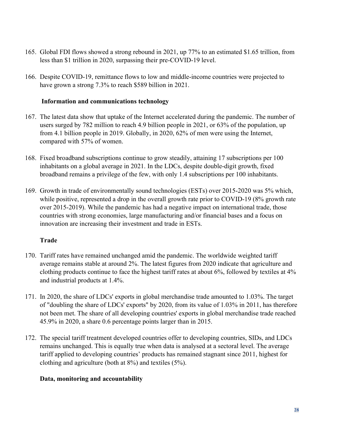- 165. Global FDI flows showed a strong rebound in 2021, up 77% to an estimated \$1.65 trillion, from less than \$1 trillion in 2020, surpassing their pre-COVID-19 level.
- 166. Despite COVID-19, remittance flows to low and middle-income countries were projected to have grown a strong 7.3% to reach \$589 billion in 2021.

### Information and communications technology

- 167. The latest data show that uptake of the Internet accelerated during the pandemic. The number of users surged by 782 million to reach 4.9 billion people in 2021, or 63% of the population, up from 4.1 billion people in 2019. Globally, in 2020, 62% of men were using the Internet, compared with 57% of women.
- 168. Fixed broadband subscriptions continue to grow steadily, attaining 17 subscriptions per 100 inhabitants on a global average in 2021. In the LDCs, despite double-digit growth, fixed broadband remains a privilege of the few, with only 1.4 subscriptions per 100 inhabitants.
- 169. Growth in trade of environmentally sound technologies (ESTs) over 2015-2020 was 5% which, while positive, represented a drop in the overall growth rate prior to COVID-19 (8% growth rate over 2015-2019). While the pandemic has had a negative impact on international trade, those countries with strong economies, large manufacturing and/or financial bases and a focus on innovation are increasing their investment and trade in ESTs.

#### Trade

- 170. Tariff rates have remained unchanged amid the pandemic. The worldwide weighted tariff average remains stable at around 2%. The latest figures from 2020 indicate that agriculture and clothing products continue to face the highest tariff rates at about 6%, followed by textiles at 4% and industrial products at 1.4%.
- 171. In 2020, the share of LDCs' exports in global merchandise trade amounted to 1.03%. The target of "doubling the share of LDCs' exports" by 2020, from its value of 1.03% in 2011, has therefore not been met. The share of all developing countries' exports in global merchandise trade reached 45.9% in 2020, a share 0.6 percentage points larger than in 2015.
- 172. The special tariff treatment developed countries offer to developing countries, SIDs, and LDCs remains unchanged. This is equally true when data is analysed at a sectoral level. The average tariff applied to developing countries' products has remained stagnant since 2011, highest for clothing and agriculture (both at 8%) and textiles (5%).

### Data, monitoring and accountability